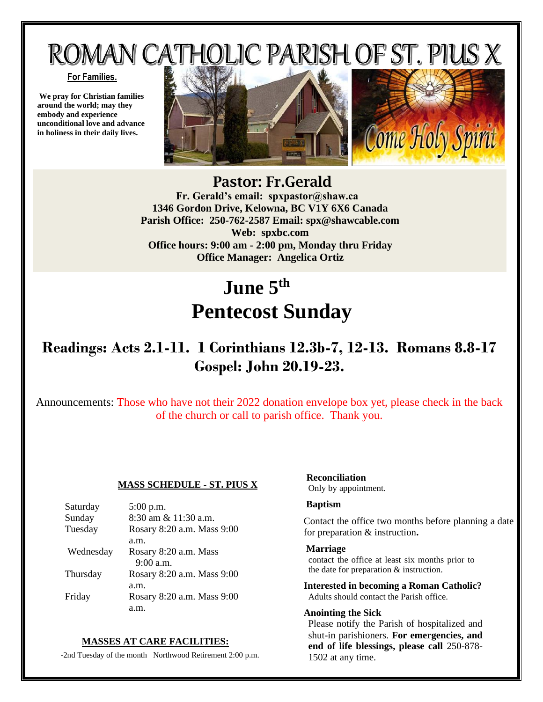# ROMAN CATHOLIC PARISH OF ST. PIUS X

#### **For Families.**

**We pray for Christian families around the world; may they embody and experience unconditional love and advance in holiness in their daily lives.**





#### Pastor: Fr.Gerald  **Fr. Gerald's email: spxpastor@shaw.ca 1346 Gordon Drive, Kelowna, BC V1Y 6X6 Canada Parish Office: 250-762-2587 Email: [spx@shawcable.com](mailto:spx@shawcable.com) Web: spxbc.com Office hours: 9:00 am - 2:00 pm, Monday thru Friday Office Manager: Angelica Ortiz**

## **June 5th Pentecost Sunday**

## **Readings: Acts 2.1-11. 1 Corinthians 12.3b-7, 12-13. Romans 8.8-17 Gospel: John 20.19-23.**

Announcements: Those who have not their 2022 donation envelope box yet, please check in the back of the church or call to parish office. Thank you.

#### **MASS SCHEDULE - ST. PIUS X**

| Saturday  | $5:00$ p.m.                |
|-----------|----------------------------|
| Sunday    | 8:30 am & 11:30 a.m.       |
| Tuesday   | Rosary 8:20 a.m. Mass 9:00 |
|           | a.m.                       |
| Wednesday | Rosary 8:20 a.m. Mass      |
|           | $9:00$ a.m.                |
| Thursday  | Rosary 8:20 a.m. Mass 9:00 |
|           | a.m.                       |
| Friday    | Rosary 8:20 a.m. Mass 9:00 |
|           |                            |

#### **MASSES AT CARE FACILITIES:**

-2nd Tuesday of the month Northwood Retirement 2:00 p.m.

## **Reconciliation**

Only by appointment.

#### **Baptism**

Contact the office two months before planning a date for preparation & instruction**.**

#### **Marriage**

contact the office at least six months prior to the date for preparation & instruction.

**Interested in becoming a Roman Catholic?** Adults should contact the Parish office.

#### **Anointing the Sick**

Please notify the Parish of hospitalized and shut-in parishioners. **For emergencies, and end of life blessings, please call** 250-878- 1502 at any time.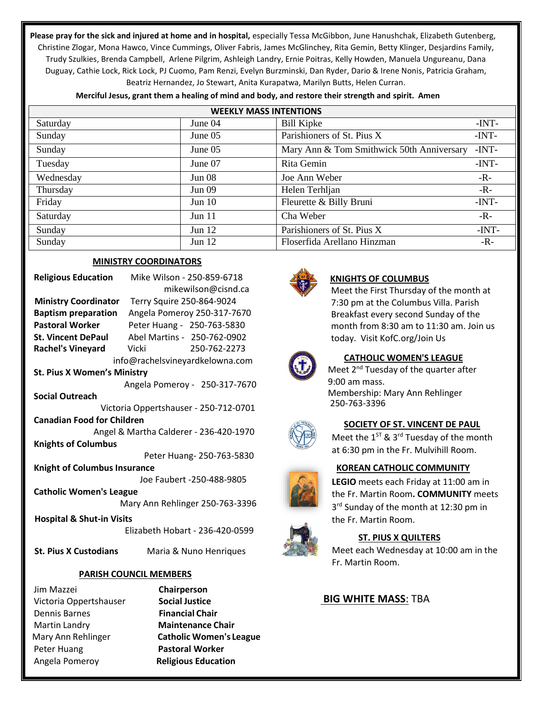**Please pray for the sick and injured at home and in hospital,** especially Tessa McGibbon, June Hanushchak, Elizabeth Gutenberg, Christine Zlogar, Mona Hawco, Vince Cummings, Oliver Fabris, James McGlinchey, Rita Gemin, Betty Klinger, Desjardins Family, Trudy Szulkies, Brenda Campbell, Arlene Pilgrim, Ashleigh Landry, Ernie Poitras, Kelly Howden, Manuela Ungureanu, Dana Duguay, Cathie Lock, Rick Lock, PJ Cuomo, Pam Renzi, Evelyn Burzminski, Dan Ryder, Dario & Irene Nonis, Patricia Graham, Beatriz Hernandez, Jo Stewart, Anita Kurapatwa, Marilyn Butts, Helen Curran.

| <b>WEEKLY MASS INTENTIONS</b> |               |                                           |         |  |  |  |
|-------------------------------|---------------|-------------------------------------------|---------|--|--|--|
| Saturday                      | June 04       | <b>Bill Kipke</b>                         | $-INT-$ |  |  |  |
| Sunday                        | June $05$     | Parishioners of St. Pius X                | $-INT-$ |  |  |  |
| Sunday                        | June $05$     | Mary Ann & Tom Smithwick 50th Anniversary | $-INT-$ |  |  |  |
| Tuesday                       | June 07       | Rita Gemin                                | -INT-   |  |  |  |
| Wednesday                     | <b>Jun 08</b> | Joe Ann Weber                             | $-R-$   |  |  |  |
| Thursday                      | Jun 09        | Helen Terhljan                            | $-R -$  |  |  |  |
| Friday                        | Jun $10$      | Fleurette & Billy Bruni                   | $-INT-$ |  |  |  |
| Saturday                      | Jun 11        | Cha Weber                                 | $-R -$  |  |  |  |
| Sunday                        | Jun 12        | Parishioners of St. Pius X                | $-INT-$ |  |  |  |
| Sunday                        | Jun $12$      | Floserfida Arellano Hinzman               | -R-     |  |  |  |

**Merciful Jesus, grant them a healing of mind and body, and restore their strength and spirit. Amen**

#### **MINISTRY COORDINATORS**

| <b>Religious Education</b>             | Mike Wilson - 250-859-6718      |  |  |
|----------------------------------------|---------------------------------|--|--|
|                                        | mikewilson@cisnd.ca             |  |  |
| <b>Ministry Coordinator</b>            | Terry Squire 250-864-9024       |  |  |
| <b>Baptism preparation</b>             | Angela Pomeroy 250-317-7670     |  |  |
| <b>Pastoral Worker</b>                 | Peter Huang - 250-763-5830      |  |  |
| <b>St. Vincent DePaul</b>              | Abel Martins - 250-762-0902     |  |  |
| Rachel's Vineyard Vicki                | 250-762-2273                    |  |  |
| info@rachelsvineyardkelowna.com        |                                 |  |  |
| <b>St. Pius X Women's Ministry</b>     |                                 |  |  |
|                                        | Angela Pomeroy - 250-317-7670   |  |  |
| <b>Social Outreach</b>                 |                                 |  |  |
| Victoria Oppertshauser - 250-712-0701  |                                 |  |  |
| <b>Canadian Food for Children</b>      |                                 |  |  |
| Angel & Martha Calderer - 236-420-1970 |                                 |  |  |
| <b>Knights of Columbus</b>             |                                 |  |  |
|                                        | Peter Huang- 250-763-5830       |  |  |
| <b>Knight of Columbus Insurance</b>    |                                 |  |  |
|                                        | Joe Faubert -250-488-9805       |  |  |
| <b>Catholic Women's League</b>         |                                 |  |  |
|                                        | Mary Ann Rehlinger 250-763-3396 |  |  |
| <b>Hospital &amp; Shut-in Visits</b>   |                                 |  |  |
|                                        | Elizabeth Hobart - 236-420-0599 |  |  |

 **St. Pius X Custodians** Maria & Nuno Henriques

#### **PARISH COUNCIL MEMBERS**

Jim Mazzei **Chairperson**  Victoria Oppertshauser **Social Justice** Dennis Barnes **Financial Chair**  Martin Landry **Maintenance Chair**  Peter Huang **Pastoral Worker**  Angela Pomeroy **Religious Education**

Mary Ann Rehlinger **Catholic Women's League**



#### **KNIGHTS OF COLUMBUS**

Meet the First Thursday of the month at 7:30 pm at the Columbus Villa. Parish Breakfast every second Sunday of the month from 8:30 am to 11:30 am. Join us today. Visit KofC.org/Join Us



#### **CATHOLIC WOMEN'S LEAGUE**

Meet 2<sup>nd</sup> Tuesday of the quarter after 9:00 am mass. Membership: Mary Ann Rehlinger 250-763-3396



#### **SOCIETY OF ST. VINCENT DE PAUL**

Meet the  $1^{ST}$  & 3<sup>rd</sup> Tuesday of the month at 6:30 pm in the Fr. Mulvihill Room.

#### **KOREAN CATHOLIC COMMUNITY**

**LEGIO** meets each Friday at 11:00 am in the Fr. Martin Room**. COMMUNITY** meets 3<sup>rd</sup> Sunday of the month at 12:30 pm in the Fr. Martin Room.



#### **ST. PIUS X QUILTERS**

Meet each Wednesday at 10:00 am in the Fr. Martin Room.

#### **BIG WHITE MASS**: TBA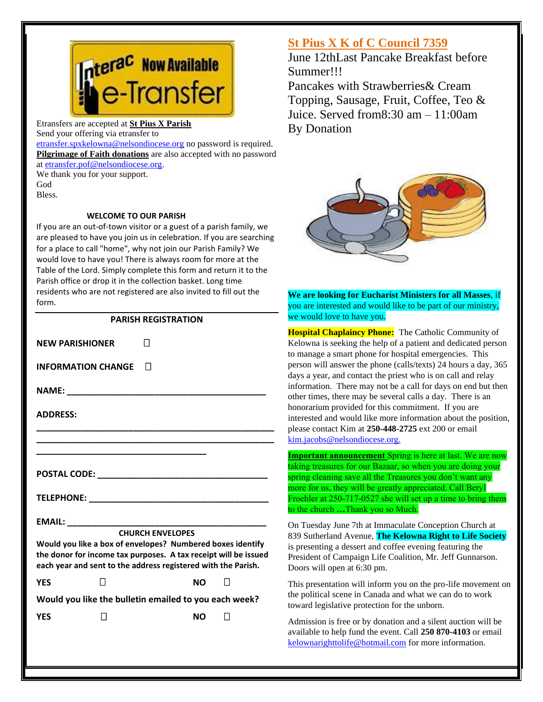

Etransfers are accepted at **St Pius X Parish** Send your offering via etransfer to

[etransfer.spxkelowna@nelsondiocese.org](file:///C:/Users/SPXAdmin/Desktop/Bulletin/Bulletins%202022/etransfer.spxkelowna@nelsondiocese.org) no password is required. **Pilgrimage of Faith donations** are also accepted with no password at [etransfer.pof@nelsondiocese.org.](file:///C:/Users/SPXAdmin/Desktop/Bulletin/Bulletins%202022/etransfer.pof@nelsondiocese.org)

We thank you for your support. God Bless.

#### **WELCOME TO OUR PARISH**

If you are an out-of-town visitor or a guest of a parish family, we are pleased to have you join us in celebration. If you are searching for a place to call "home", why not join our Parish Family? We would love to have you! There is always room for more at the Table of the Lord. Simply complete this form and return it to the Parish office or drop it in the collection basket. Long time residents who are not registered are also invited to fill out the form.

#### **PARISH REGISTRATION**

| <b>NEW PARISHIONER</b>                                                                                                                                                                                                    |              |         |  |  |  |
|---------------------------------------------------------------------------------------------------------------------------------------------------------------------------------------------------------------------------|--------------|---------|--|--|--|
| <b>INFORMATION CHANGE</b>                                                                                                                                                                                                 | $\mathsf{L}$ |         |  |  |  |
|                                                                                                                                                                                                                           |              |         |  |  |  |
| <b>ADDRESS:</b>                                                                                                                                                                                                           |              |         |  |  |  |
|                                                                                                                                                                                                                           |              |         |  |  |  |
|                                                                                                                                                                                                                           |              |         |  |  |  |
|                                                                                                                                                                                                                           |              |         |  |  |  |
|                                                                                                                                                                                                                           |              |         |  |  |  |
| <b>CHURCH ENVELOPES</b><br>Would you like a box of envelopes? Numbered boxes identify<br>the donor for income tax purposes. A tax receipt will be issued<br>each year and sent to the address registered with the Parish. |              |         |  |  |  |
| <b>YES</b><br>$\mathsf{L}$                                                                                                                                                                                                | NΩ           | $\perp$ |  |  |  |
| Would you like the bulletin emailed to you each week?                                                                                                                                                                     |              |         |  |  |  |
| <b>YES</b>                                                                                                                                                                                                                | NΟ           |         |  |  |  |
|                                                                                                                                                                                                                           |              |         |  |  |  |

#### **St Pius X K of C Council 7359**

June 12thLast Pancake Breakfast before Summer!!!

Pancakes with Strawberries& Cream Topping, Sausage, Fruit, Coffee, Teo & Juice. Served from8:30 am – 11:00am By Donation



֦ **We are looking for Eucharist Ministers for all Masses**, if you are interested and would like to be part of our ministry, we would love to have you.

to manage a smart phone for hospital emergencies. This  $\alpha$  days a year, and contact the priest who is on call and relay **Hospital Chaplaincy Phone:** The Catholic Community of Kelowna is seeking the help of a patient and dedicated person person will answer the phone (calls/texts) 24 hours a day, 365 information. There may not be a call for days on end but then other times, there may be several calls a day. There is an honorarium provided for this commitment. If you are interested and would like more information about the position, please contact Kim at **250-448-2725** ext 200 or email <kim.jacobs@nelsondiocese.org.>

**Important announcement** Spring is here at last. We are now taking treasures for our Bazaar, so when you are doing your spring cleaning save all the Treasures you don't want any more for us, they will be greatly appreciated. Call Beryl Froehler at 250-717-0527 she will set up a time to bring them to the church **…**Thank you so Much.

On Tuesday June 7th at Immaculate Conception Church at 839 Sutherland Avenue, **The Kelowna Right to Life Society** is presenting a dessert and coffee evening featuring the President of Campaign Life Coalition, Mr. Jeff Gunnarson. Doors will open at 6:30 pm.

This presentation will inform you on the pro-life movement on the political scene in Canada and what we can do to work toward legislative protection for the unborn.

Admission is free or by donation and a silent auction will be available to help fund the event. Call **250 870-4103** or email [kelownarighttolife@hotmail.com](kelownarighttolife@hotmail.com%20) for more information.